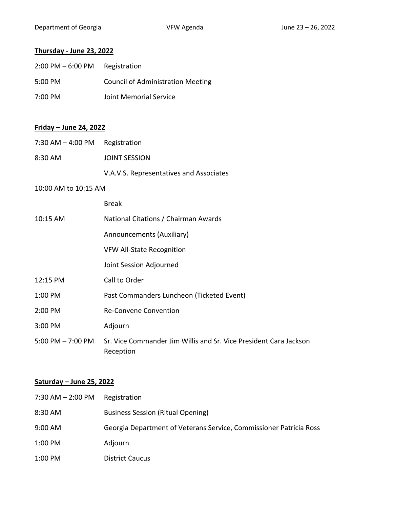Department of Georgia **VFW Agenda** VFW Agenda June 23 – 26, 2022

# **Thursday - June 23, 2022**

| $2:00$ PM $-6:00$ PM | Registration                             |
|----------------------|------------------------------------------|
| $5:00 \text{ PM}$    | <b>Council of Administration Meeting</b> |
| $7:00 \text{ PM}$    | Joint Memorial Service                   |

### **Friday – June 24, 2022**

| $7:30$ AM $-$ 4:00 PM Registration |                                         |
|------------------------------------|-----------------------------------------|
| 8:30 AM                            | JOINT SESSION                           |
|                                    | V.A.V.S. Representatives and Associates |

#### 10:00 AM to 10:15 AM

|                       | <b>Break</b>                                                                   |
|-----------------------|--------------------------------------------------------------------------------|
| 10:15 AM              | National Citations / Chairman Awards                                           |
|                       | Announcements (Auxiliary)                                                      |
|                       | <b>VFW All-State Recognition</b>                                               |
|                       | Joint Session Adjourned                                                        |
| $12:15 \text{ PM}$    | Call to Order                                                                  |
| $1:00$ PM             | Past Commanders Luncheon (Ticketed Event)                                      |
| 2:00 PM               | <b>Re-Convene Convention</b>                                                   |
| 3:00 PM               | Adjourn                                                                        |
| $5:00$ PM $- 7:00$ PM | Sr. Vice Commander Jim Willis and Sr. Vice President Cara Jackson<br>Reception |

## **Saturday – June 25, 2022**

| 7:30 AM - 2:00 PM | Registration                                                       |
|-------------------|--------------------------------------------------------------------|
| 8:30 AM           | <b>Business Session (Ritual Opening)</b>                           |
| 9:00 AM           | Georgia Department of Veterans Service, Commissioner Patricia Ross |
| 1:00 PM           | Adjourn                                                            |
| 1:00 PM           | <b>District Caucus</b>                                             |